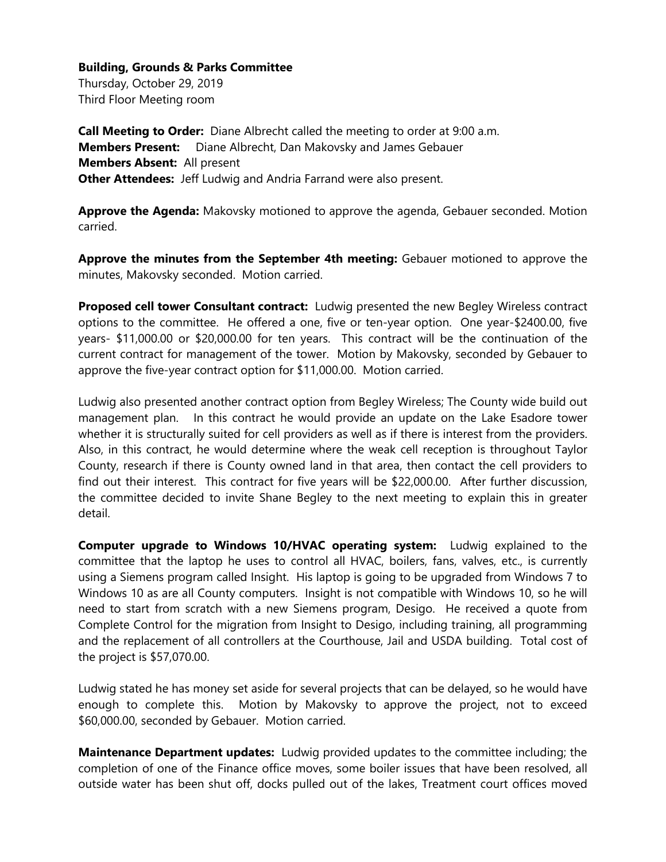Thursday, October 29, 2019 Third Floor Meeting room

**Call Meeting to Order:** Diane Albrecht called the meeting to order at 9:00 a.m. **Members Present:** Diane Albrecht, Dan Makovsky and James Gebauer **Members Absent:** All present **Other Attendees:** Jeff Ludwig and Andria Farrand were also present.

**Approve the Agenda:** Makovsky motioned to approve the agenda, Gebauer seconded. Motion carried.

**Approve the minutes from the September 4th meeting:** Gebauer motioned to approve the minutes, Makovsky seconded. Motion carried.

**Proposed cell tower Consultant contract:** Ludwig presented the new Begley Wireless contract options to the committee. He offered a one, five or ten-year option. One year-\$2400.00, five years- \$11,000.00 or \$20,000.00 for ten years. This contract will be the continuation of the current contract for management of the tower. Motion by Makovsky, seconded by Gebauer to approve the five-year contract option for \$11,000.00. Motion carried.

Ludwig also presented another contract option from Begley Wireless; The County wide build out management plan. In this contract he would provide an update on the Lake Esadore tower whether it is structurally suited for cell providers as well as if there is interest from the providers. Also, in this contract, he would determine where the weak cell reception is throughout Taylor County, research if there is County owned land in that area, then contact the cell providers to find out their interest. This contract for five years will be \$22,000.00. After further discussion, the committee decided to invite Shane Begley to the next meeting to explain this in greater detail.

**Computer upgrade to Windows 10/HVAC operating system:** Ludwig explained to the committee that the laptop he uses to control all HVAC, boilers, fans, valves, etc., is currently using a Siemens program called Insight. His laptop is going to be upgraded from Windows 7 to Windows 10 as are all County computers. Insight is not compatible with Windows 10, so he will need to start from scratch with a new Siemens program, Desigo. He received a quote from Complete Control for the migration from Insight to Desigo, including training, all programming and the replacement of all controllers at the Courthouse, Jail and USDA building. Total cost of the project is \$57,070.00.

Ludwig stated he has money set aside for several projects that can be delayed, so he would have enough to complete this. Motion by Makovsky to approve the project, not to exceed \$60,000.00, seconded by Gebauer. Motion carried.

**Maintenance Department updates:** Ludwig provided updates to the committee including; the completion of one of the Finance office moves, some boiler issues that have been resolved, all outside water has been shut off, docks pulled out of the lakes, Treatment court offices moved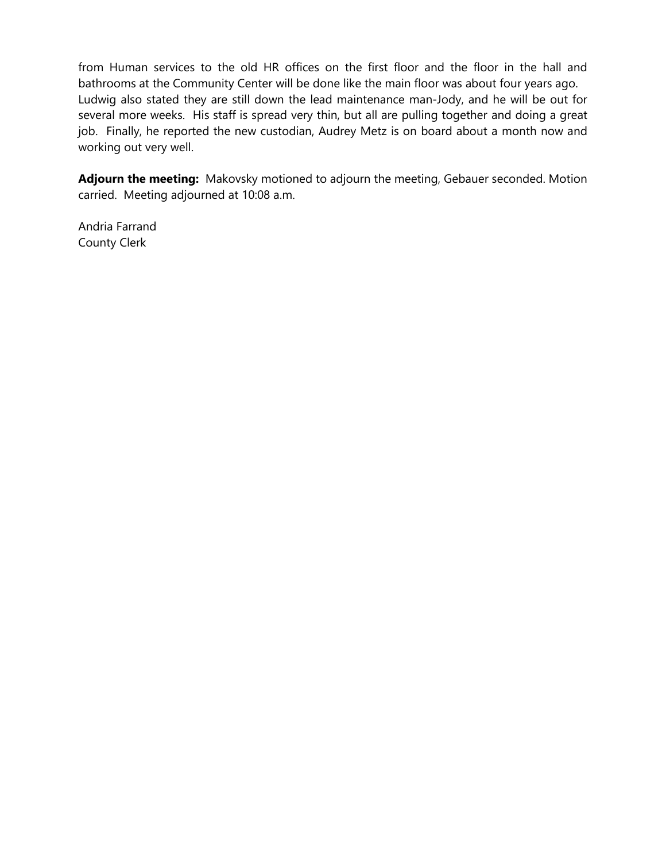from Human services to the old HR offices on the first floor and the floor in the hall and bathrooms at the Community Center will be done like the main floor was about four years ago. Ludwig also stated they are still down the lead maintenance man-Jody, and he will be out for several more weeks. His staff is spread very thin, but all are pulling together and doing a great job. Finally, he reported the new custodian, Audrey Metz is on board about a month now and working out very well.

**Adjourn the meeting:** Makovsky motioned to adjourn the meeting, Gebauer seconded. Motion carried. Meeting adjourned at 10:08 a.m.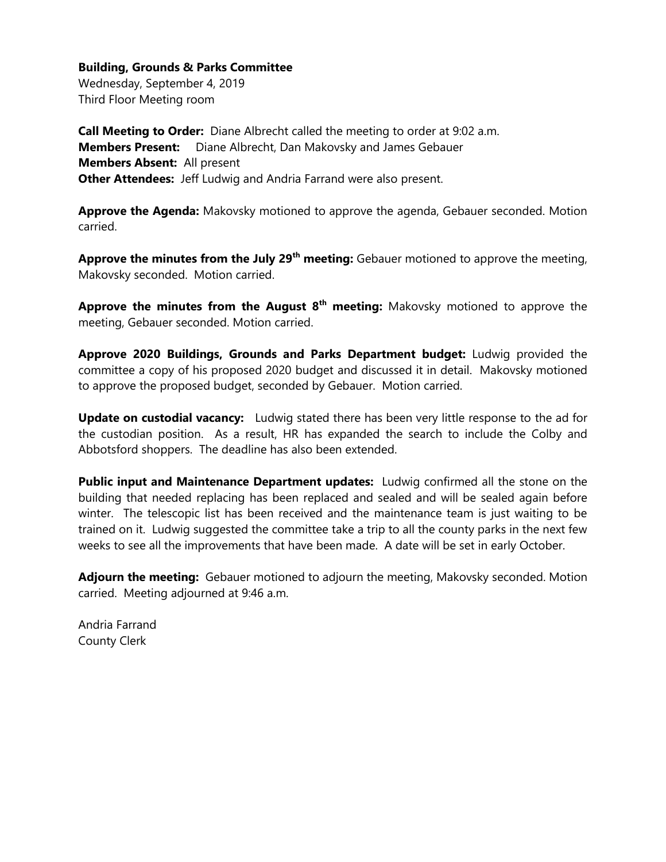Wednesday, September 4, 2019 Third Floor Meeting room

**Call Meeting to Order:** Diane Albrecht called the meeting to order at 9:02 a.m. **Members Present:** Diane Albrecht, Dan Makovsky and James Gebauer **Members Absent:** All present **Other Attendees:** Jeff Ludwig and Andria Farrand were also present.

**Approve the Agenda:** Makovsky motioned to approve the agenda, Gebauer seconded. Motion carried.

**Approve the minutes from the July 29th meeting:** Gebauer motioned to approve the meeting, Makovsky seconded. Motion carried.

**Approve the minutes from the August 8th meeting:** Makovsky motioned to approve the meeting, Gebauer seconded. Motion carried.

**Approve 2020 Buildings, Grounds and Parks Department budget:** Ludwig provided the committee a copy of his proposed 2020 budget and discussed it in detail. Makovsky motioned to approve the proposed budget, seconded by Gebauer. Motion carried.

**Update on custodial vacancy:** Ludwig stated there has been very little response to the ad for the custodian position. As a result, HR has expanded the search to include the Colby and Abbotsford shoppers. The deadline has also been extended.

**Public input and Maintenance Department updates:** Ludwig confirmed all the stone on the building that needed replacing has been replaced and sealed and will be sealed again before winter. The telescopic list has been received and the maintenance team is just waiting to be trained on it. Ludwig suggested the committee take a trip to all the county parks in the next few weeks to see all the improvements that have been made. A date will be set in early October.

**Adjourn the meeting:** Gebauer motioned to adjourn the meeting, Makovsky seconded. Motion carried. Meeting adjourned at 9:46 a.m.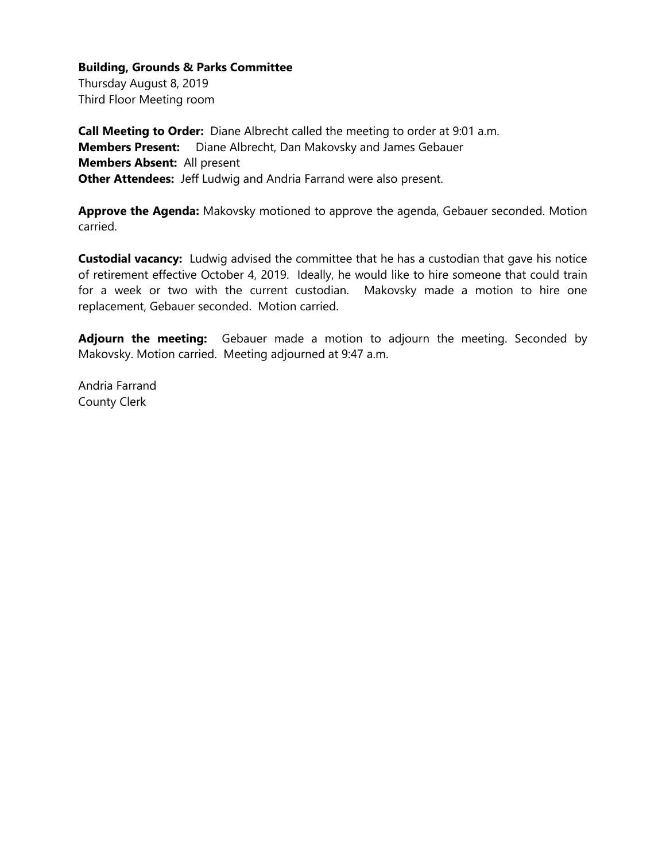Thursday August 8, 2019 Third Floor Meeting room

**Call Meeting to Order:** Diane Albrecht called the meeting to order at 9:01 a.m. **Members Present:** Diane Albrecht, Dan Makovsky and James Gebauer **Members Absent:** All present **Other Attendees:** Jeff Ludwig and Andria Farrand were also present.

**Approve the Agenda:** Makovsky motioned to approve the agenda, Gebauer seconded. Motion carried.

**Custodial vacancy:** Ludwig advised the committee that he has a custodian that gave his notice of retirement effective October 4, 2019. Ideally, he would like to hire someone that could train for a week or two with the current custodian. Makovsky made a motion to hire one replacement, Gebauer seconded. Motion carried.

**Adjourn the meeting:** Gebauer made a motion to adjourn the meeting. Seconded by Makovsky. Motion carried. Meeting adjourned at 9:47 a.m.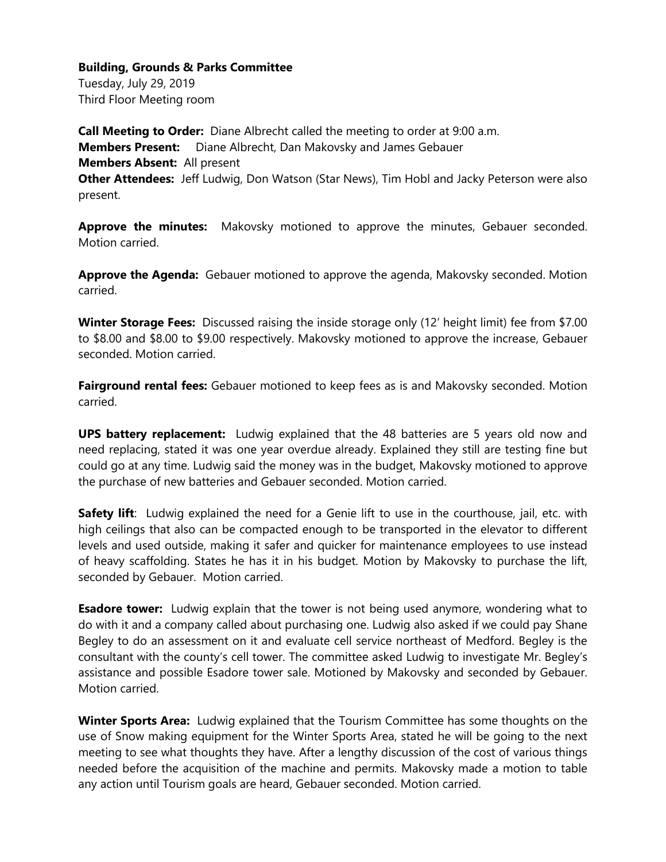Tuesday, July 29, 2019 Third Floor Meeting room

**Call Meeting to Order:** Diane Albrecht called the meeting to order at 9:00 a.m. **Members Present:** Diane Albrecht, Dan Makovsky and James Gebauer **Members Absent:** All present **Other Attendees:** Jeff Ludwig, Don Watson (Star News), Tim Hobl and Jacky Peterson were also present.

Approve the minutes: Makovsky motioned to approve the minutes, Gebauer seconded. Motion carried.

**Approve the Agenda:** Gebauer motioned to approve the agenda, Makovsky seconded. Motion carried.

**Winter Storage Fees:** Discussed raising the inside storage only (12' height limit) fee from \$7.00 to \$8.00 and \$8.00 to \$9.00 respectively. Makovsky motioned to approve the increase, Gebauer seconded. Motion carried.

**Fairground rental fees:** Gebauer motioned to keep fees as is and Makovsky seconded. Motion carried.

**UPS battery replacement:** Ludwig explained that the 48 batteries are 5 years old now and need replacing, stated it was one year overdue already. Explained they still are testing fine but could go at any time. Ludwig said the money was in the budget, Makovsky motioned to approve the purchase of new batteries and Gebauer seconded. Motion carried.

**Safety lift**: Ludwig explained the need for a Genie lift to use in the courthouse, jail, etc. with high ceilings that also can be compacted enough to be transported in the elevator to different levels and used outside, making it safer and quicker for maintenance employees to use instead of heavy scaffolding. States he has it in his budget. Motion by Makovsky to purchase the lift, seconded by Gebauer. Motion carried.

**Esadore tower:** Ludwig explain that the tower is not being used anymore, wondering what to do with it and a company called about purchasing one. Ludwig also asked if we could pay Shane Begley to do an assessment on it and evaluate cell service northeast of Medford. Begley is the consultant with the county's cell tower. The committee asked Ludwig to investigate Mr. Begley's assistance and possible Esadore tower sale. Motioned by Makovsky and seconded by Gebauer. Motion carried.

**Winter Sports Area:** Ludwig explained that the Tourism Committee has some thoughts on the use of Snow making equipment for the Winter Sports Area, stated he will be going to the next meeting to see what thoughts they have. After a lengthy discussion of the cost of various things needed before the acquisition of the machine and permits. Makovsky made a motion to table any action until Tourism goals are heard, Gebauer seconded. Motion carried.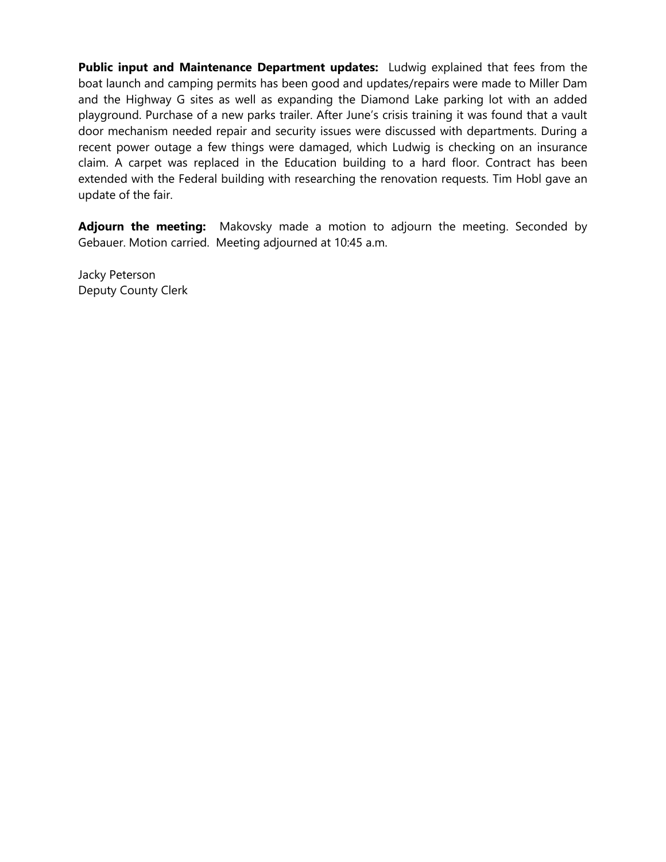**Public input and Maintenance Department updates:** Ludwig explained that fees from the boat launch and camping permits has been good and updates/repairs were made to Miller Dam and the Highway G sites as well as expanding the Diamond Lake parking lot with an added playground. Purchase of a new parks trailer. After June's crisis training it was found that a vault door mechanism needed repair and security issues were discussed with departments. During a recent power outage a few things were damaged, which Ludwig is checking on an insurance claim. A carpet was replaced in the Education building to a hard floor. Contract has been extended with the Federal building with researching the renovation requests. Tim Hobl gave an update of the fair.

**Adjourn the meeting:** Makovsky made a motion to adjourn the meeting. Seconded by Gebauer. Motion carried. Meeting adjourned at 10:45 a.m.

Jacky Peterson Deputy County Clerk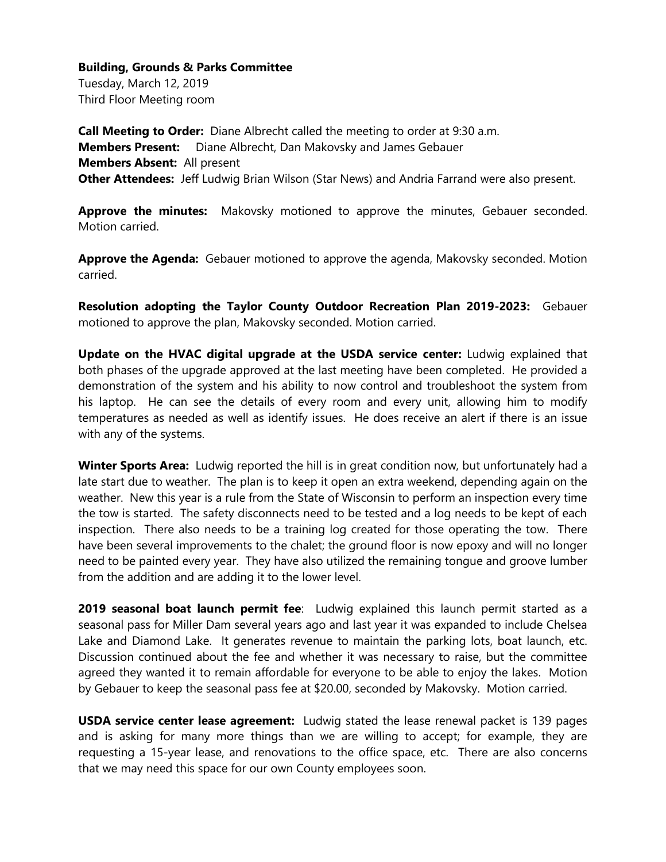Tuesday, March 12, 2019 Third Floor Meeting room

**Call Meeting to Order:** Diane Albrecht called the meeting to order at 9:30 a.m. **Members Present:** Diane Albrecht, Dan Makovsky and James Gebauer **Members Absent:** All present **Other Attendees:** Jeff Ludwig Brian Wilson (Star News) and Andria Farrand were also present.

**Approve the minutes:** Makovsky motioned to approve the minutes, Gebauer seconded. Motion carried.

**Approve the Agenda:** Gebauer motioned to approve the agenda, Makovsky seconded. Motion carried.

**Resolution adopting the Taylor County Outdoor Recreation Plan 2019-2023:** Gebauer motioned to approve the plan, Makovsky seconded. Motion carried.

**Update on the HVAC digital upgrade at the USDA service center:** Ludwig explained that both phases of the upgrade approved at the last meeting have been completed. He provided a demonstration of the system and his ability to now control and troubleshoot the system from his laptop. He can see the details of every room and every unit, allowing him to modify temperatures as needed as well as identify issues. He does receive an alert if there is an issue with any of the systems.

**Winter Sports Area:** Ludwig reported the hill is in great condition now, but unfortunately had a late start due to weather. The plan is to keep it open an extra weekend, depending again on the weather. New this year is a rule from the State of Wisconsin to perform an inspection every time the tow is started. The safety disconnects need to be tested and a log needs to be kept of each inspection. There also needs to be a training log created for those operating the tow. There have been several improvements to the chalet; the ground floor is now epoxy and will no longer need to be painted every year. They have also utilized the remaining tongue and groove lumber from the addition and are adding it to the lower level.

**2019 seasonal boat launch permit fee**: Ludwig explained this launch permit started as a seasonal pass for Miller Dam several years ago and last year it was expanded to include Chelsea Lake and Diamond Lake. It generates revenue to maintain the parking lots, boat launch, etc. Discussion continued about the fee and whether it was necessary to raise, but the committee agreed they wanted it to remain affordable for everyone to be able to enjoy the lakes. Motion by Gebauer to keep the seasonal pass fee at \$20.00, seconded by Makovsky. Motion carried.

**USDA service center lease agreement:** Ludwig stated the lease renewal packet is 139 pages and is asking for many more things than we are willing to accept; for example, they are requesting a 15-year lease, and renovations to the office space, etc. There are also concerns that we may need this space for our own County employees soon.